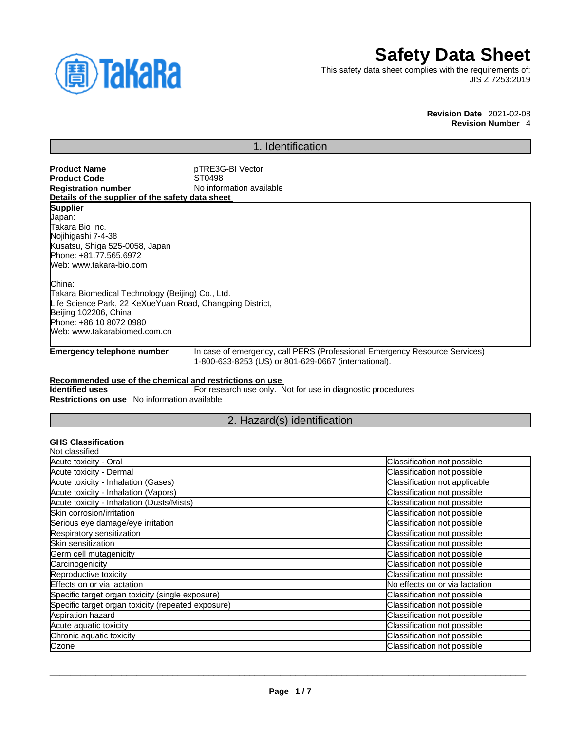

# **Safety Data Sheet**

This safety data sheet complies with the requirements of: JIS Z 7253:2019

> **Revision Date** 2021-02-08 **Revision Number** 4

# 1. Identification

| <b>Product Name</b>                                       | pTRE3G-BI Vector                                                               |
|-----------------------------------------------------------|--------------------------------------------------------------------------------|
| <b>Product Code</b>                                       | ST0498                                                                         |
|                                                           |                                                                                |
| <b>Registration number</b>                                | No information available                                                       |
| Details of the supplier of the safety data sheet          |                                                                                |
| <b>Supplier</b>                                           |                                                                                |
| Japan:                                                    |                                                                                |
| Takara Bio Inc.                                           |                                                                                |
| Nojihigashi 7-4-38                                        |                                                                                |
| Kusatsu, Shiga 525-0058, Japan                            |                                                                                |
| Phone: +81.77.565.6972                                    |                                                                                |
| Web: www.takara-bio.com                                   |                                                                                |
| China:                                                    |                                                                                |
| Takara Biomedical Technology (Beijing) Co., Ltd.          |                                                                                |
| Life Science Park, 22 KeXueYuan Road, Changping District, |                                                                                |
| Beijing 102206, China                                     |                                                                                |
| Phone: +86 10 8072 0980                                   |                                                                                |
| Web: www.takarabiomed.com.cn                              |                                                                                |
| Encourance and allow because increase to a                | <u>In assa of corresponse call BEDO (Berfassional Emergency Bassures Camis</u> |

**Emergency telephone number** In case of emergency, call PERS (Professional Emergency Resource Services) 1-800-633-8253 (US) or 801-629-0667 (international).

### **Recommended use of the chemical and restrictions on use**

**Identified uses** For research use only. Not for use in diagnostic procedures **Restrictions on use** No information available

# 2. Hazard(s) identification

# **GHS Classification**

| Not classified                                     |                                |
|----------------------------------------------------|--------------------------------|
| Acute toxicity - Oral                              | Classification not possible    |
| Acute toxicity - Dermal                            | Classification not possible    |
| Acute toxicity - Inhalation (Gases)                | Classification not applicable  |
| Acute toxicity - Inhalation (Vapors)               | Classification not possible    |
| Acute toxicity - Inhalation (Dusts/Mists)          | Classification not possible    |
| Skin corrosion/irritation                          | Classification not possible    |
| Serious eye damage/eye irritation                  | Classification not possible    |
| Respiratory sensitization                          | Classification not possible    |
| Skin sensitization                                 | Classification not possible    |
| Germ cell mutagenicity                             | Classification not possible    |
| Carcinogenicity                                    | Classification not possible    |
| Reproductive toxicity                              | Classification not possible    |
| Effects on or via lactation                        | No effects on or via lactation |
| Specific target organ toxicity (single exposure)   | Classification not possible    |
| Specific target organ toxicity (repeated exposure) | Classification not possible    |
| Aspiration hazard                                  | Classification not possible    |
| Acute aquatic toxicity                             | Classification not possible    |
| Chronic aquatic toxicity                           | Classification not possible    |
| Ozone                                              | Classification not possible    |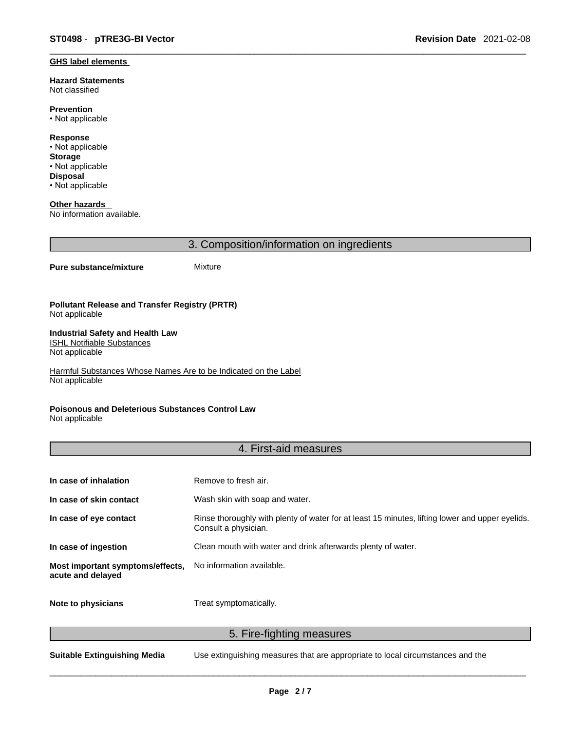#### **GHS label elements**

**Hazard Statements**  Not classified

**Prevention** • Not applicable

**Response** • Not applicable **Storage** • Not applicable **Disposal** • Not applicable

**Other hazards**  No information available.

3. Composition/information on ingredients

#### **Pure substance/mixture** Mixture

#### **Pollutant Release and Transfer Registry (PRTR)** Not applicable

#### **Industrial Safety and Health Law**  ISHL Notifiable Substances

Not applicable

Harmful Substances Whose Names Are to be Indicated on the Label Not applicable

### **Poisonous and Deleterious Substances Control Law**

Not applicable

### 4. First-aid measures

| In case of inhalation                                 | Remove to fresh air.                                                                                                    |
|-------------------------------------------------------|-------------------------------------------------------------------------------------------------------------------------|
| In case of skin contact                               | Wash skin with soap and water.                                                                                          |
| In case of eye contact                                | Rinse thoroughly with plenty of water for at least 15 minutes, lifting lower and upper eyelids.<br>Consult a physician. |
| In case of ingestion                                  | Clean mouth with water and drink afterwards plenty of water.                                                            |
| Most important symptoms/effects,<br>acute and delayed | No information available.                                                                                               |
| Note to physicians                                    | Treat symptomatically.                                                                                                  |

# 5. Fire-fighting measures

**Suitable Extinguishing Media** Use extinguishing measures that are appropriate to local circumstances and the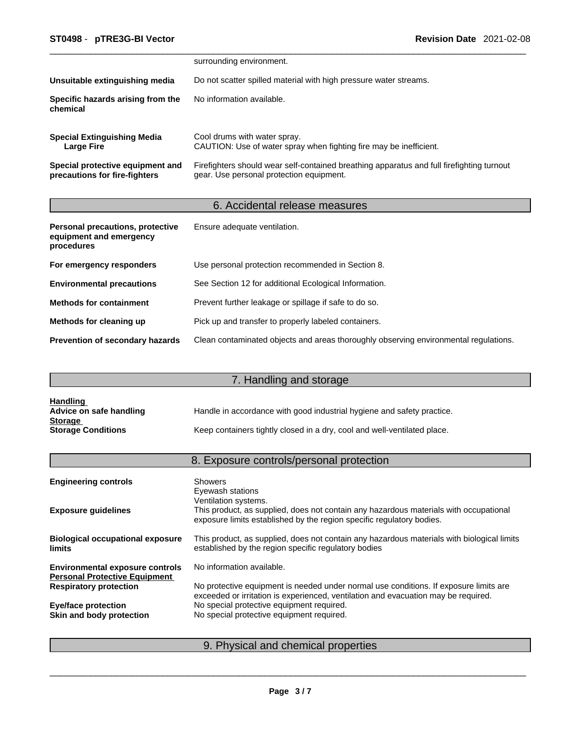|                                                                   | surrounding environment.                                                                                                              |
|-------------------------------------------------------------------|---------------------------------------------------------------------------------------------------------------------------------------|
| Unsuitable extinguishing media                                    | Do not scatter spilled material with high pressure water streams.                                                                     |
| Specific hazards arising from the<br>chemical                     | No information available.                                                                                                             |
| <b>Special Extinguishing Media</b><br>Large Fire                  | Cool drums with water spray.<br>CAUTION: Use of water spray when fighting fire may be inefficient.                                    |
| Special protective equipment and<br>precautions for fire-fighters | Firefighters should wear self-contained breathing apparatus and full firefighting turnout<br>gear. Use personal protection equipment. |

# 6. Accidental release measures

| Personal precautions, protective<br>equipment and emergency<br>procedures | Ensure adequate ventilation.                                                         |
|---------------------------------------------------------------------------|--------------------------------------------------------------------------------------|
| For emergency responders                                                  | Use personal protection recommended in Section 8.                                    |
| <b>Environmental precautions</b>                                          | See Section 12 for additional Ecological Information.                                |
| <b>Methods for containment</b>                                            | Prevent further leakage or spillage if safe to do so.                                |
| Methods for cleaning up                                                   | Pick up and transfer to properly labeled containers.                                 |
| Prevention of secondary hazards                                           | Clean contaminated objects and areas thoroughly observing environmental regulations. |

# 7. Handling and storage

| <b>Handling</b>           |                                                                          |
|---------------------------|--------------------------------------------------------------------------|
| Advice on safe handling   | Handle in accordance with good industrial hygiene and safety practice.   |
| <b>Storage</b>            |                                                                          |
| <b>Storage Conditions</b> | Keep containers tightly closed in a dry, cool and well-ventilated place. |

# 8. Exposure controls/personal protection

| <b>Engineering controls</b>                                                    | <b>Showers</b><br>Eyewash stations                                                                                                                                                     |
|--------------------------------------------------------------------------------|----------------------------------------------------------------------------------------------------------------------------------------------------------------------------------------|
| <b>Exposure guidelines</b>                                                     | Ventilation systems.<br>This product, as supplied, does not contain any hazardous materials with occupational<br>exposure limits established by the region specific regulatory bodies. |
| <b>Biological occupational exposure</b><br><b>limits</b>                       | This product, as supplied, does not contain any hazardous materials with biological limits<br>established by the region specific regulatory bodies                                     |
| <b>Environmental exposure controls</b><br><b>Personal Protective Equipment</b> | No information available.                                                                                                                                                              |
| <b>Respiratory protection</b>                                                  | No protective equipment is needed under normal use conditions. If exposure limits are<br>exceeded or irritation is experienced, ventilation and evacuation may be required.            |
| <b>Eye/face protection</b>                                                     | No special protective equipment required.                                                                                                                                              |
| Skin and body protection                                                       | No special protective equipment required.                                                                                                                                              |
|                                                                                |                                                                                                                                                                                        |

# 9. Physical and chemical properties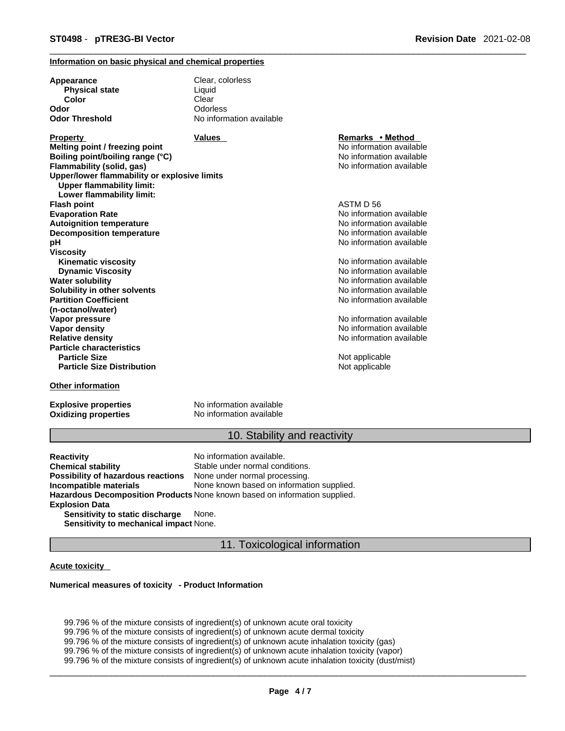#### **Information on basic physical and chemical properties**

| Appearance                                                                       | Clear, colorless         |                          |  |
|----------------------------------------------------------------------------------|--------------------------|--------------------------|--|
| <b>Physical state</b>                                                            | Liquid                   |                          |  |
| Color                                                                            | Clear                    |                          |  |
| Odor                                                                             | Odorless                 |                          |  |
| <b>Odor Threshold</b>                                                            | No information available |                          |  |
| <b>Property</b>                                                                  | <b>Values</b>            | Remarks • Method         |  |
| Melting point / freezing point                                                   |                          | No information available |  |
| Boiling point/boiling range (°C)                                                 |                          | No information available |  |
| Flammability (solid, gas)                                                        |                          | No information available |  |
| Upper/lower flammability or explosive limits<br><b>Upper flammability limit:</b> |                          |                          |  |
| Lower flammability limit:                                                        |                          |                          |  |
| Flash point                                                                      |                          | ASTM D 56                |  |
| <b>Evaporation Rate</b>                                                          |                          | No information available |  |
| <b>Autoignition temperature</b>                                                  |                          | No information available |  |
| <b>Decomposition temperature</b>                                                 |                          | No information available |  |
| рH                                                                               |                          | No information available |  |
| Viscositv                                                                        |                          |                          |  |
| <b>Kinematic viscosity</b>                                                       |                          | No information available |  |
| <b>Dynamic Viscosity</b>                                                         |                          | No information available |  |
| Water solubility                                                                 |                          | No information available |  |
| Solubility in other solvents                                                     |                          | No information available |  |
| <b>Partition Coefficient</b>                                                     |                          | No information available |  |
| (n-octanol/water)                                                                |                          |                          |  |
| Vapor pressure                                                                   |                          | No information available |  |
| Vapor density                                                                    |                          | No information available |  |
| <b>Relative density</b>                                                          |                          | No information available |  |
| <b>Particle characteristics</b>                                                  |                          |                          |  |
| <b>Particle Size</b>                                                             |                          | Not applicable           |  |
| <b>Particle Size Distribution</b>                                                |                          | Not applicable           |  |
| <b>Other information</b>                                                         |                          |                          |  |

**Explosive properties**<br> **Oxidizing properties**<br>
No information available **Oxidizing properties** 

### 10. Stability and reactivity

**Reactivity Reactivity Reactivity Chemical stability No information available.**<br> **Chemical stability Reaction** Stable under normal cond Stable under normal conditions.<br>None under normal processing. **Possibility of hazardous reactions Incompatible materials** None known based on information supplied. **Hazardous Decomposition Products** None known based on information supplied. **Explosion Data Sensitivity to static discharge** None.

**Sensitivity to mechanical impact** None.

#### 11. Toxicological information

#### **Acute toxicity**

#### **Numerical measures of toxicity - Product Information**

99.796 % of the mixture consists of ingredient(s) of unknown acute oral toxicity 99.796 % of the mixture consists of ingredient(s) of unknown acute dermal toxicity 99.796 % of the mixture consists of ingredient(s) of unknown acute inhalation toxicity (gas) 99.796 % of the mixture consists of ingredient(s) of unknown acute inhalation toxicity (vapor) 99.796 % of the mixture consists of ingredient(s) of unknown acute inhalation toxicity (dust/mist)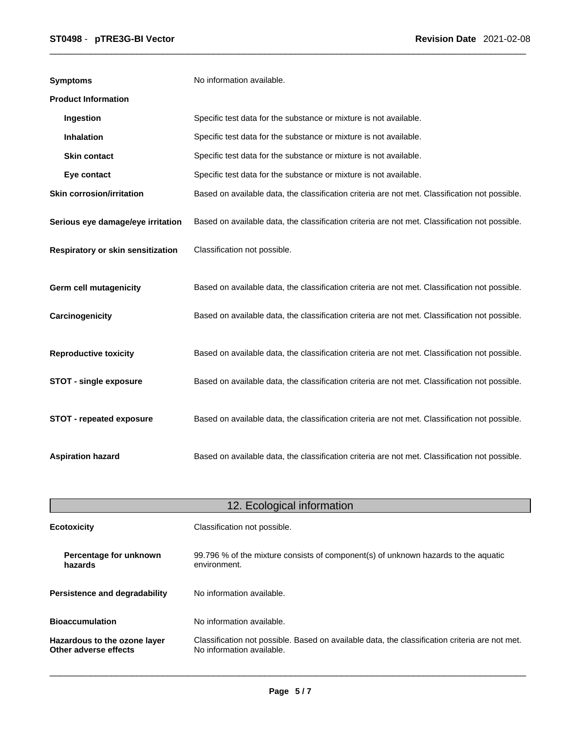| <b>Symptoms</b>                   | No information available.                                                                      |
|-----------------------------------|------------------------------------------------------------------------------------------------|
| <b>Product Information</b>        |                                                                                                |
| Ingestion                         | Specific test data for the substance or mixture is not available.                              |
| <b>Inhalation</b>                 | Specific test data for the substance or mixture is not available.                              |
| <b>Skin contact</b>               | Specific test data for the substance or mixture is not available.                              |
| Eye contact                       | Specific test data for the substance or mixture is not available.                              |
| <b>Skin corrosion/irritation</b>  | Based on available data, the classification criteria are not met. Classification not possible. |
| Serious eye damage/eye irritation | Based on available data, the classification criteria are not met. Classification not possible. |
| Respiratory or skin sensitization | Classification not possible.                                                                   |
| <b>Germ cell mutagenicity</b>     | Based on available data, the classification criteria are not met. Classification not possible. |
| Carcinogenicity                   | Based on available data, the classification criteria are not met. Classification not possible. |
| <b>Reproductive toxicity</b>      | Based on available data, the classification criteria are not met. Classification not possible. |
| <b>STOT - single exposure</b>     | Based on available data, the classification criteria are not met. Classification not possible. |
| STOT - repeated exposure          | Based on available data, the classification criteria are not met. Classification not possible. |
| <b>Aspiration hazard</b>          | Based on available data, the classification criteria are not met. Classification not possible. |

| 12. Ecological information                            |                                                                                                                             |  |
|-------------------------------------------------------|-----------------------------------------------------------------------------------------------------------------------------|--|
| <b>Ecotoxicity</b>                                    | Classification not possible.                                                                                                |  |
| Percentage for unknown<br>hazards                     | 99.796 % of the mixture consists of component(s) of unknown hazards to the aquatic<br>environment.                          |  |
| <b>Persistence and degradability</b>                  | No information available.                                                                                                   |  |
| <b>Bioaccumulation</b>                                | No information available.                                                                                                   |  |
| Hazardous to the ozone layer<br>Other adverse effects | Classification not possible. Based on available data, the classification criteria are not met.<br>No information available. |  |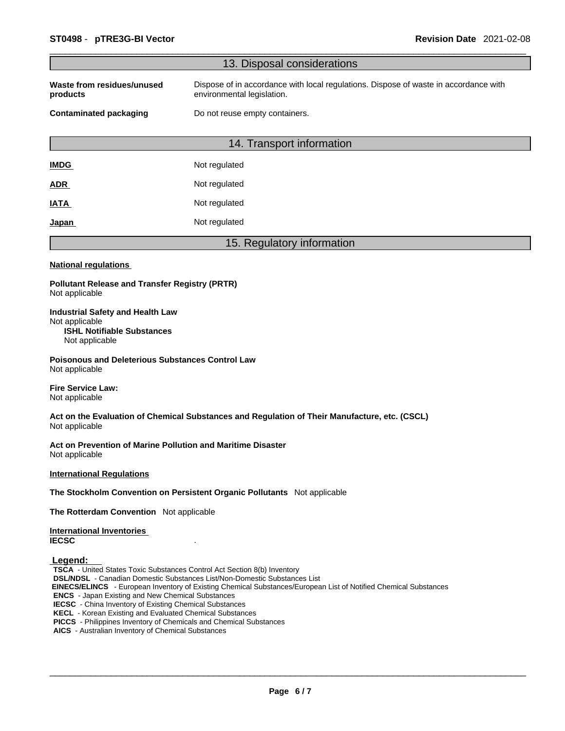|                                                                                                                                                                                                                                                                                                                                                                                                                                                                                                             | 13. Disposal considerations                                                                                        |
|-------------------------------------------------------------------------------------------------------------------------------------------------------------------------------------------------------------------------------------------------------------------------------------------------------------------------------------------------------------------------------------------------------------------------------------------------------------------------------------------------------------|--------------------------------------------------------------------------------------------------------------------|
| Waste from residues/unused<br>products                                                                                                                                                                                                                                                                                                                                                                                                                                                                      | Dispose of in accordance with local regulations. Dispose of waste in accordance with<br>environmental legislation. |
| <b>Contaminated packaging</b>                                                                                                                                                                                                                                                                                                                                                                                                                                                                               | Do not reuse empty containers.                                                                                     |
|                                                                                                                                                                                                                                                                                                                                                                                                                                                                                                             | 14. Transport information                                                                                          |
| <b>IMDG</b>                                                                                                                                                                                                                                                                                                                                                                                                                                                                                                 | Not regulated                                                                                                      |
| <u>ADR</u>                                                                                                                                                                                                                                                                                                                                                                                                                                                                                                  | Not regulated                                                                                                      |
| <b>IATA</b>                                                                                                                                                                                                                                                                                                                                                                                                                                                                                                 | Not regulated                                                                                                      |
| <u>Japan</u>                                                                                                                                                                                                                                                                                                                                                                                                                                                                                                | Not regulated                                                                                                      |
|                                                                                                                                                                                                                                                                                                                                                                                                                                                                                                             | 15. Regulatory information                                                                                         |
| <b>National regulations</b>                                                                                                                                                                                                                                                                                                                                                                                                                                                                                 |                                                                                                                    |
| <b>Pollutant Release and Transfer Registry (PRTR)</b><br>Not applicable                                                                                                                                                                                                                                                                                                                                                                                                                                     |                                                                                                                    |
| <b>Industrial Safety and Health Law</b><br>Not applicable<br><b>ISHL Notifiable Substances</b><br>Not applicable                                                                                                                                                                                                                                                                                                                                                                                            |                                                                                                                    |
| <b>Poisonous and Deleterious Substances Control Law</b><br>Not applicable                                                                                                                                                                                                                                                                                                                                                                                                                                   |                                                                                                                    |
| <b>Fire Service Law:</b><br>Not applicable                                                                                                                                                                                                                                                                                                                                                                                                                                                                  |                                                                                                                    |
| Not applicable                                                                                                                                                                                                                                                                                                                                                                                                                                                                                              | Act on the Evaluation of Chemical Substances and Regulation of Their Manufacture, etc. (CSCL)                      |
| Act on Prevention of Marine Pollution and Maritime Disaster<br>Not applicable                                                                                                                                                                                                                                                                                                                                                                                                                               |                                                                                                                    |
| <b>International Regulations</b>                                                                                                                                                                                                                                                                                                                                                                                                                                                                            |                                                                                                                    |
|                                                                                                                                                                                                                                                                                                                                                                                                                                                                                                             | The Stockholm Convention on Persistent Organic Pollutants Not applicable                                           |
| The Rotterdam Convention Not applicable                                                                                                                                                                                                                                                                                                                                                                                                                                                                     |                                                                                                                    |
| <b>International Inventories</b><br><b>IECSC</b>                                                                                                                                                                                                                                                                                                                                                                                                                                                            |                                                                                                                    |
| Legend:<br><b>TSCA</b> - United States Toxic Substances Control Act Section 8(b) Inventory<br><b>DSL/NDSL</b> - Canadian Domestic Substances List/Non-Domestic Substances List<br><b>ENCS</b> - Japan Existing and New Chemical Substances<br><b>IECSC</b> - China Inventory of Existing Chemical Substances<br><b>KECL</b> - Korean Existing and Evaluated Chemical Substances<br>PICCS - Philippines Inventory of Chemicals and Chemical Substances<br>AICS - Australian Inventory of Chemical Substances | EINECS/ELINCS - European Inventory of Existing Chemical Substances/European List of Notified Chemical Substances   |